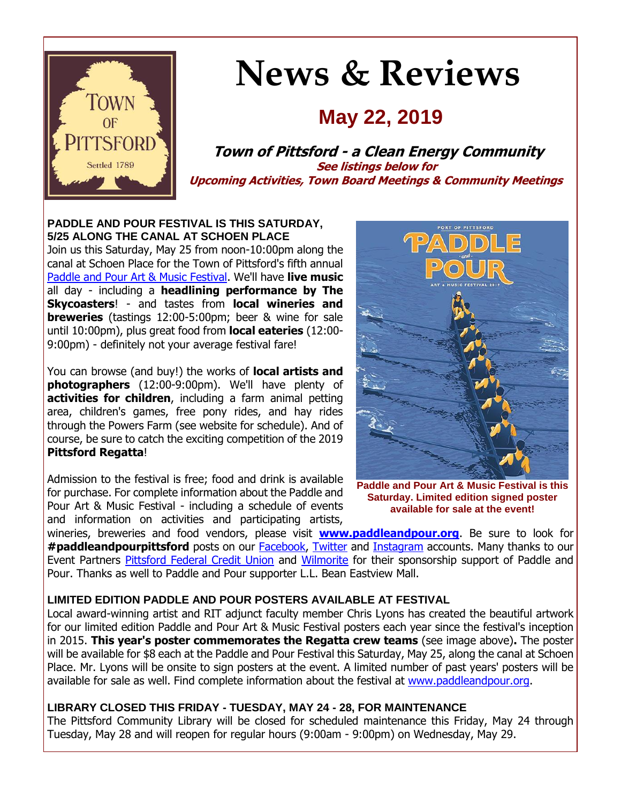

# **News & Reviews**

# **May 22, 2019**

**Town of Pittsford - a Clean Energy Community See listings below for Upcoming Activities, Town Board Meetings & Community Meetings**

#### **PADDLE AND POUR FESTIVAL IS THIS SATURDAY, 5/25 ALONG THE CANAL AT SCHOEN PLACE**

Join us this Saturday, May 25 from noon-10:00pm along the canal at Schoen Place for the Town of Pittsford's fifth annual [Paddle and Pour Art & Music Festival.](http://r20.rs6.net/tn.jsp?f=001fPUwCtGqZ7Blo4zDqI6cCt-w0s42MISO6V6ic8H3Gud4bqbwCz-kILtvXB-FXEh58HiAbeU2L86UutpZaUcNsajB9GdJAWzjUM7KVo6ZQj6eTuHtqpge3FykJbL0Y7BUP1O2veUkrXjF_IQmAC8j4Iu0ZchzZ7ZwnJJKlPzv7OdiP8WaKWODAQnc4C9K2SDgReVxuZTl-_cnyJuC9VtyCMF8QW2ELAYyl9JhT2KuOWvRBnFhfQo_j8fj36E71ntk48TAjJlEAOUHMEH58N5XzXllVflVuvIlydJwr6-3aGU=&c=ORxPxigUFCjcaDF-Mwg9Obc15zZWt4xH0CEzdjMmE3j1hK8lDhNFZg==&ch=ww4vpZmRDEYVktVhkQXntZ_TgYLuSTR8V64eMJf3W0y5m9HFtH7D5A==) We'll have **live music** all day - including a **headlining performance by The Skycoasters**! - and tastes from **local wineries and breweries** (tastings 12:00-5:00pm; beer & wine for sale until 10:00pm), plus great food from **local eateries** (12:00- 9:00pm) - definitely not your average festival fare!

You can browse (and buy!) the works of **local artists and photographers** (12:00-9:00pm). We'll have plenty of **activities for children**, including a farm animal petting area, children's games, free pony rides, and hay rides through the Powers Farm (see website for schedule). And of course, be sure to catch the exciting competition of the 2019 **Pittsford Regatta**!

Admission to the festival is free; food and drink is available for purchase. For complete information about the Paddle and Pour Art & Music Festival - including a schedule of events and information on activities and participating artists,



**Paddle and Pour Art & Music Festival is this Saturday. Limited edition signed poster available for sale at the event!**

wineries, breweries and food vendors, please visit **[www.paddleandpour.org](http://r20.rs6.net/tn.jsp?f=001fPUwCtGqZ7Blo4zDqI6cCt-w0s42MISO6V6ic8H3Gud4bqbwCz-kILtvXB-FXEh58HiAbeU2L86UutpZaUcNsajB9GdJAWzjUM7KVo6ZQj6eTuHtqpge3FykJbL0Y7BUP1O2veUkrXjF_IQmAC8j4Iu0ZchzZ7ZwnJJKlPzv7OdiP8WaKWODAQnc4C9K2SDgReVxuZTl-_cnyJuC9VtyCMF8QW2ELAYyl9JhT2KuOWvRBnFhfQo_j8fj36E71ntk48TAjJlEAOUHMEH58N5XzXllVflVuvIlydJwr6-3aGU=&c=ORxPxigUFCjcaDF-Mwg9Obc15zZWt4xH0CEzdjMmE3j1hK8lDhNFZg==&ch=ww4vpZmRDEYVktVhkQXntZ_TgYLuSTR8V64eMJf3W0y5m9HFtH7D5A==)**. Be sure to look for **#paddleandpourpittsford** posts on our [Facebook,](http://r20.rs6.net/tn.jsp?f=001fPUwCtGqZ7Blo4zDqI6cCt-w0s42MISO6V6ic8H3Gud4bqbwCz-kIDne-G9UHpd51ZCIg0X-B5BnGGmCufGRk_SxkLAVM8JMRsZoqvZv7KUDOE-XbsE6NykKdhz0AonhwfQfNF9Ya0qUwcXI93H0AzSeQrhQ93Z7drhw0S3-eGuom0Y5aEveMUee9GDYcOW4MQEUYSenejQlc7indAB3mocEzsIpYqBiNTbvtfTAd7c=&c=ORxPxigUFCjcaDF-Mwg9Obc15zZWt4xH0CEzdjMmE3j1hK8lDhNFZg==&ch=ww4vpZmRDEYVktVhkQXntZ_TgYLuSTR8V64eMJf3W0y5m9HFtH7D5A==) [Twitter](http://r20.rs6.net/tn.jsp?f=001fPUwCtGqZ7Blo4zDqI6cCt-w0s42MISO6V6ic8H3Gud4bqbwCz-kIOBcHNOZ5SNESvg7ViQ4H8G8nJ6DXEPy-RkgiBkRI7zBn-SEvR6hIKcPufdPWuNqNowb-4pIc-6TnDT33d024GuRDtTYIx4dINlifCQT-BuuNLKaVNlzy4P-bE3UR0mF1g==&c=ORxPxigUFCjcaDF-Mwg9Obc15zZWt4xH0CEzdjMmE3j1hK8lDhNFZg==&ch=ww4vpZmRDEYVktVhkQXntZ_TgYLuSTR8V64eMJf3W0y5m9HFtH7D5A==) and [Instagram](http://r20.rs6.net/tn.jsp?f=001fPUwCtGqZ7Blo4zDqI6cCt-w0s42MISO6V6ic8H3Gud4bqbwCz-kIOBcHNOZ5SNExHt7d3ctjyLYfGFio5oC7o1XC394KXLaojsASbgv42DAmSdb-ixfrdyoGwxCk94hw6J6vZfiDPCePSsk9PqyTk9tZ499A9esxDY39iJ6y5t1AveVcfRE_U-vHaYwPQeXgOSla2B5P3rIX0nNWKxJKU3RbuSvKt7glmin58NoFQqOll3TvZvn2Q0xNMTdyO7RC9ZTTJ9qO-7ZpixVlL119kTXYJuMT7u0dkjS1xf4W7zoDX6HPiMYfQ==&c=ORxPxigUFCjcaDF-Mwg9Obc15zZWt4xH0CEzdjMmE3j1hK8lDhNFZg==&ch=ww4vpZmRDEYVktVhkQXntZ_TgYLuSTR8V64eMJf3W0y5m9HFtH7D5A==) accounts. Many thanks to our Event Partners [Pittsford Federal Credit Union](http://r20.rs6.net/tn.jsp?f=001fPUwCtGqZ7Blo4zDqI6cCt-w0s42MISO6V6ic8H3Gud4bqbwCz-kIFHsvSYavyH1oyya4ktJgMsmxOM0G1fWSXY8YaYQ5jFze-YrCBYhfIZm-LemkA2Thn0fQ1gomo6Xsg1lYic6cRhYmO2sDOega74f_VW-UMRj-qgJAUy-HhsoON77vPREFcRwMjMchnsnHqcl5kVeY41YUFA0qK3_tzvHaG1nh6BFzX7OqyrGX9eT_SBsmPcMmQQ5cw6SgiSr8CQzlyQqII55Y98udLTB9EpVIIcCMYlldIhRHQbLpCs=&c=ORxPxigUFCjcaDF-Mwg9Obc15zZWt4xH0CEzdjMmE3j1hK8lDhNFZg==&ch=ww4vpZmRDEYVktVhkQXntZ_TgYLuSTR8V64eMJf3W0y5m9HFtH7D5A==) and [Wilmorite](http://r20.rs6.net/tn.jsp?f=001fPUwCtGqZ7Blo4zDqI6cCt-w0s42MISO6V6ic8H3Gud4bqbwCz-kIFHsvSYavyH1h9gD3HuVfvJkmwa8HAnnf5HEKNm5i4_7Wxq0C66rC8wWkudiY_dC_ve7W7GfWHdGCU0gIshbtwsISoxgrcDXvDPBSFB6T_uJ5fJqGzJWBgwj5gnQJcsmIV8VLteQydQ-c3bzjXpCk-jlD8pmnYIlZj66W7x3BnF3Zh2KdsVa5--hKHWZnAxx79BlVyPyYuYgFfwX1sC948lGf8pz-Mz1Sgg4oKtDLudz&c=ORxPxigUFCjcaDF-Mwg9Obc15zZWt4xH0CEzdjMmE3j1hK8lDhNFZg==&ch=ww4vpZmRDEYVktVhkQXntZ_TgYLuSTR8V64eMJf3W0y5m9HFtH7D5A==) for their sponsorship support of Paddle and Pour. Thanks as well to Paddle and Pour supporter L.L. Bean Eastview Mall.

#### **LIMITED EDITION PADDLE AND POUR POSTERS AVAILABLE AT FESTIVAL**

Local award-winning artist and RIT adjunct faculty member Chris Lyons has created the beautiful artwork for our limited edition Paddle and Pour Art & Music Festival posters each year since the festival's inception in 2015. **This year's poster commemorates the Regatta crew teams** (see image above)**.** The poster will be available for \$8 each at the Paddle and Pour Festival this Saturday, May 25, along the canal at Schoen Place. Mr. Lyons will be onsite to sign posters at the event. A limited number of past years' posters will be available for sale as well. Find complete information about the festival at [www.paddleandpour.org.](http://r20.rs6.net/tn.jsp?f=001fPUwCtGqZ7Blo4zDqI6cCt-w0s42MISO6V6ic8H3Gud4bqbwCz-kILtvXB-FXEh58HiAbeU2L86UutpZaUcNsajB9GdJAWzjUM7KVo6ZQj6eTuHtqpge3FykJbL0Y7BUP1O2veUkrXjF_IQmAC8j4Iu0ZchzZ7ZwnJJKlPzv7OdiP8WaKWODAQnc4C9K2SDgReVxuZTl-_cnyJuC9VtyCMF8QW2ELAYyl9JhT2KuOWvRBnFhfQo_j8fj36E71ntk48TAjJlEAOUHMEH58N5XzXllVflVuvIlydJwr6-3aGU=&c=ORxPxigUFCjcaDF-Mwg9Obc15zZWt4xH0CEzdjMmE3j1hK8lDhNFZg==&ch=ww4vpZmRDEYVktVhkQXntZ_TgYLuSTR8V64eMJf3W0y5m9HFtH7D5A==)

# **LIBRARY CLOSED THIS FRIDAY - TUESDAY, MAY 24 - 28, FOR MAINTENANCE**

The Pittsford Community Library will be closed for scheduled maintenance this Friday, May 24 through Tuesday, May 28 and will reopen for regular hours (9:00am - 9:00pm) on Wednesday, May 29.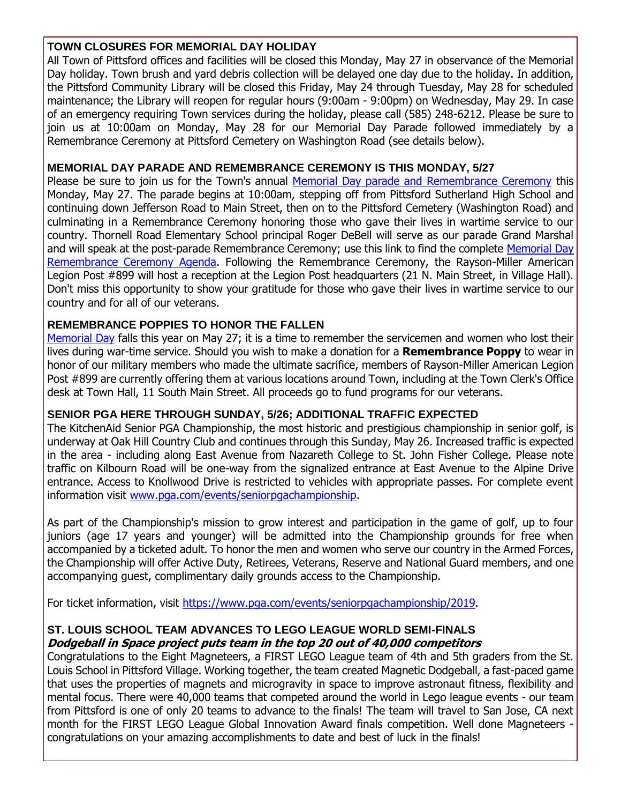#### **TOWN CLOSURES FOR MEMORIAL DAY HOLIDAY**

All Town of Pittsford offices and facilities will be closed this Monday, May 27 in observance of the Memorial Day holiday. Town brush and yard debris collection will be delayed one day due to the holiday. In addition, the Pittsford Community Library will be closed this Friday, May 24 through Tuesday, May 28 for scheduled maintenance; the Library will reopen for regular hours (9:00am - 9:00pm) on Wednesday, May 29. In case of an emergency requiring Town services during the holiday, please call (585) 248-6212. Please be sure to join us at 10:00am on Monday, May 28 for our Memorial Day Parade followed immediately by a Remembrance Ceremony at Pittsford Cemetery on Washington Road (see details below).

#### **MEMORIAL DAY PARADE AND REMEMBRANCE CEREMONY IS THIS MONDAY, 5/27**

Please be sure to join us for the Town's annual [Memorial Day parade and Remembrance Ceremony](http://r20.rs6.net/tn.jsp?f=001fPUwCtGqZ7Blo4zDqI6cCt-w0s42MISO6V6ic8H3Gud4bqbwCz-kIOBcHNOZ5SNE_gKpMHFY86MJ3iuTO_zD4X1VYceu3rdfLyzxmKv3OGm-6ssJxmB9LMGV05b47PBSNwmY89UZTafYAVN2610OKHPvD7a3pIvmZtk3jF-dzdeZa8-xLF8VEwYO3imbO4EZ6b0cmTT0NcdgJ49kXKJzSFZJ9pahAVWr_afntLY7bGu3zdOP1mxU17CQoGuTp0GcXgmEz7zCqUCX3CCwxetyQf_OzjpIONWOxD6Vvqt9CPb9nyHduaoNZWD120BV6yfA&c=ORxPxigUFCjcaDF-Mwg9Obc15zZWt4xH0CEzdjMmE3j1hK8lDhNFZg==&ch=ww4vpZmRDEYVktVhkQXntZ_TgYLuSTR8V64eMJf3W0y5m9HFtH7D5A==) this Monday, May 27. The parade begins at 10:00am, stepping off from Pittsford Sutherland High School and continuing down Jefferson Road to Main Street, then on to the Pittsford Cemetery (Washington Road) and culminating in a Remembrance Ceremony honoring those who gave their lives in wartime service to our country. Thornell Road Elementary School principal Roger DeBell will serve as our parade Grand Marshal and will speak at the post-parade Remembrance Ceremony; use this link to find the complete [Memorial Day](http://r20.rs6.net/tn.jsp?f=001fPUwCtGqZ7Blo4zDqI6cCt-w0s42MISO6V6ic8H3Gud4bqbwCz-kIBGYfBUwBB48-aFJD6IL_7da-CPzeO3gEm6JOAQ529l8X3jJwBGz3BK0r2iZ3iDchKTm8rxq65geltaiHsjnvBPI_fGhx0JA4JZEA6EBtvNSQoeX6Jq1wsrUVhgelX8nt2pkZNNbn6GT1z8vh4LZJKby47YpeXHmyVEfN9lyBlCUWEwDZnDycOKcwD8t3LjeWfPdjAbsx5rNfLhAF93GHo0cP-lSedXNPf3nh-3F8OUfhE-PcoqeFzf5v1_QmcmT5__QVnccxWqL_zfv_LE2Bv0JuUS3Q71N_xp7JyYpejbr-jPDXpI8av8=&c=ORxPxigUFCjcaDF-Mwg9Obc15zZWt4xH0CEzdjMmE3j1hK8lDhNFZg==&ch=ww4vpZmRDEYVktVhkQXntZ_TgYLuSTR8V64eMJf3W0y5m9HFtH7D5A==)  [Remembrance Ceremony Agenda.](http://r20.rs6.net/tn.jsp?f=001fPUwCtGqZ7Blo4zDqI6cCt-w0s42MISO6V6ic8H3Gud4bqbwCz-kIBGYfBUwBB48-aFJD6IL_7da-CPzeO3gEm6JOAQ529l8X3jJwBGz3BK0r2iZ3iDchKTm8rxq65geltaiHsjnvBPI_fGhx0JA4JZEA6EBtvNSQoeX6Jq1wsrUVhgelX8nt2pkZNNbn6GT1z8vh4LZJKby47YpeXHmyVEfN9lyBlCUWEwDZnDycOKcwD8t3LjeWfPdjAbsx5rNfLhAF93GHo0cP-lSedXNPf3nh-3F8OUfhE-PcoqeFzf5v1_QmcmT5__QVnccxWqL_zfv_LE2Bv0JuUS3Q71N_xp7JyYpejbr-jPDXpI8av8=&c=ORxPxigUFCjcaDF-Mwg9Obc15zZWt4xH0CEzdjMmE3j1hK8lDhNFZg==&ch=ww4vpZmRDEYVktVhkQXntZ_TgYLuSTR8V64eMJf3W0y5m9HFtH7D5A==) Following the Remembrance Ceremony, the Rayson-Miller American Legion Post #899 will host a reception at the Legion Post headquarters (21 N. Main Street, in Village Hall). Don't miss this opportunity to show your gratitude for those who gave their lives in wartime service to our country and for all of our veterans.

#### **REMEMBRANCE POPPIES TO HONOR THE FALLEN**

[Memorial Day](http://r20.rs6.net/tn.jsp?f=001fPUwCtGqZ7Blo4zDqI6cCt-w0s42MISO6V6ic8H3Gud4bqbwCz-kIOBcHNOZ5SNE_gKpMHFY86MJ3iuTO_zD4X1VYceu3rdfLyzxmKv3OGm-6ssJxmB9LMGV05b47PBSNwmY89UZTafYAVN2610OKHPvD7a3pIvmZtk3jF-dzdeZa8-xLF8VEwYO3imbO4EZ6b0cmTT0NcdgJ49kXKJzSFZJ9pahAVWr_afntLY7bGu3zdOP1mxU17CQoGuTp0GcXgmEz7zCqUCX3CCwxetyQf_OzjpIONWOxD6Vvqt9CPb9nyHduaoNZWD120BV6yfA&c=ORxPxigUFCjcaDF-Mwg9Obc15zZWt4xH0CEzdjMmE3j1hK8lDhNFZg==&ch=ww4vpZmRDEYVktVhkQXntZ_TgYLuSTR8V64eMJf3W0y5m9HFtH7D5A==) falls this year on May 27; it is a time to remember the servicemen and women who lost their lives during war-time service. Should you wish to make a donation for a **Remembrance Poppy** to wear in honor of our military members who made the ultimate sacrifice, members of Rayson-Miller American Legion Post #899 are currently offering them at various locations around Town, including at the Town Clerk's Office desk at Town Hall, 11 South Main Street. All proceeds go to fund programs for our veterans.

#### **SENIOR PGA HERE THROUGH SUNDAY, 5/26; ADDITIONAL TRAFFIC EXPECTED**

The KitchenAid Senior PGA Championship, the most historic and prestigious championship in senior golf, is underway at Oak Hill Country Club and continues through this Sunday, May 26. Increased traffic is expected in the area - including along East Avenue from Nazareth College to St. John Fisher College. Please note traffic on Kilbourn Road will be one-way from the signalized entrance at East Avenue to the Alpine Drive entrance. Access to Knollwood Drive is restricted to vehicles with appropriate passes. For complete event information visit [www.pga.com/events/seniorpgachampionship.](http://www.pga.com/events/seniorpgachampionship)

As part of the Championship's mission to grow interest and participation in the game of golf, up to four juniors (age 17 years and younger) will be admitted into the Championship grounds for free when accompanied by a ticketed adult. To honor the men and women who serve our country in the Armed Forces, the Championship will offer Active Duty, Retirees, Veterans, Reserve and National Guard members, and one accompanying guest, complimentary daily grounds access to the Championship.

For ticket information, visit [https://www.pga.com/events/seniorpgachampionship/2019.](http://r20.rs6.net/tn.jsp?f=001fPUwCtGqZ7Blo4zDqI6cCt-w0s42MISO6V6ic8H3Gud4bqbwCz-kIIXVNNX2Va4dH52Y4RBuYUs8UJ0mPYEN95c1nYi8X6RE-gM-WU2h1dU970tYaZWyIdrnpzvkqjZLAyp4L0c_W1tOgorK1LUmfHNj64SFTDboVcn4382-3Mmpbanx1Yv70zjMgAy1UMT56qp5dSigqNy1Q6T853v8p-jsRV68ZBrIl4M77m-DTrtkYE8SQwB4BQHwOj9ss1tPnWhRuLN02egpCaDiB93_UpzIGwqfOEjOIRFBQf-UrxhUKXbv-qBtzVvDv6ArHgIUfCH9BHObrDk=&c=ORxPxigUFCjcaDF-Mwg9Obc15zZWt4xH0CEzdjMmE3j1hK8lDhNFZg==&ch=ww4vpZmRDEYVktVhkQXntZ_TgYLuSTR8V64eMJf3W0y5m9HFtH7D5A==)

#### **ST. LOUIS SCHOOL TEAM ADVANCES TO LEGO LEAGUE WORLD SEMI-FINALS Dodgeball in Space project puts team in the top 20 out of 40,000 competitors**

Congratulations to the Eight Magneteers, a FIRST LEGO League team of 4th and 5th graders from the St. Louis School in Pittsford Village. Working together, the team created Magnetic Dodgeball, a fast-paced game that uses the properties of magnets and microgravity in space to improve astronaut fitness, flexibility and mental focus. There were 40,000 teams that competed around the world in Lego league events - our team from Pittsford is one of only 20 teams to advance to the finals! The team will travel to San Jose, CA next month for the FIRST LEGO League Global Innovation Award finals competition. Well done Magneteers congratulations on your amazing accomplishments to date and best of luck in the finals!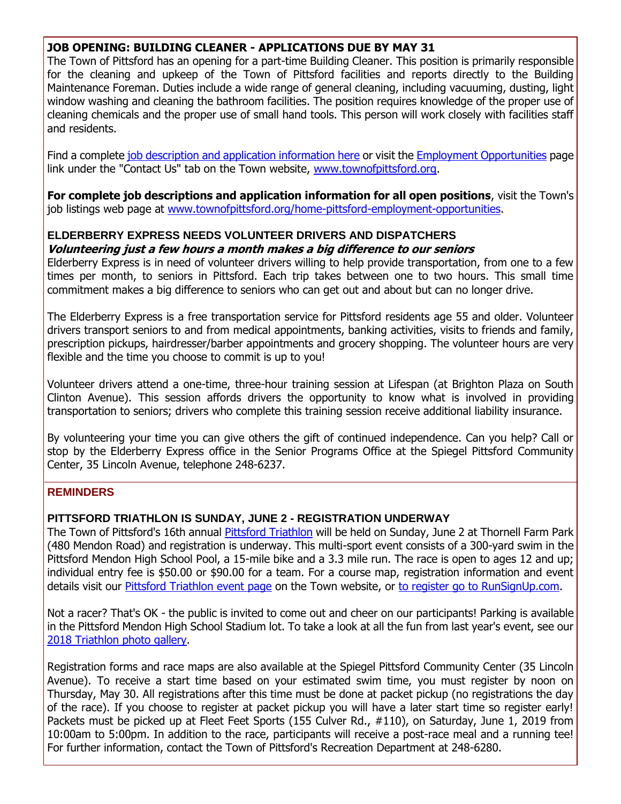#### **JOB OPENING: BUILDING CLEANER - APPLICATIONS DUE BY MAY 31**

The Town of Pittsford has an opening for a part-time Building Cleaner. This position is primarily responsible for the cleaning and upkeep of the Town of Pittsford facilities and reports directly to the Building Maintenance Foreman. Duties include a wide range of general cleaning, including vacuuming, dusting, light window washing and cleaning the bathroom facilities. The position requires knowledge of the proper use of cleaning chemicals and the proper use of small hand tools. This person will work closely with facilities staff and residents.

Find a complete [job description and application information here](http://r20.rs6.net/tn.jsp?f=001fPUwCtGqZ7Blo4zDqI6cCt-w0s42MISO6V6ic8H3Gud4bqbwCz-kIP8vP5J23y-pFPSWQGDpaB3hpeOSwG2AOAq2F3bmJf9tLwi3gPGwN5OygeIdztXkiZWGq3fObmSNKB_qRkqS-6StaPy-Dz-Y8mlvfo8W0rI51kkNeC7vgqwSS55ygr88sTB4eQzO2sn9BFMae7H2le5X_Pzl31zDx-ZyfmvSb4YV4o8V65x8HcKaenIymZR49a-pqrkW7vdJeCvnKCK6DQLSkTNcOtNtdsyMAduxQD4J8gGkf-D2aJPk_LxKPW6JybHRV0nRztch39Agys8vMeuX03kgr_PE-OZJvBKbKZwdTHP47EWjCSzX-vgV0Bil_eRMJRwfUheFdZ3S38z7c5OZPqSzAxD7Dw==&c=ORxPxigUFCjcaDF-Mwg9Obc15zZWt4xH0CEzdjMmE3j1hK8lDhNFZg==&ch=ww4vpZmRDEYVktVhkQXntZ_TgYLuSTR8V64eMJf3W0y5m9HFtH7D5A==) or visit the [Employment Opportunities](http://r20.rs6.net/tn.jsp?f=001fPUwCtGqZ7Blo4zDqI6cCt-w0s42MISO6V6ic8H3Gud4bqbwCz-kIAEbxhXWlbtmFVxgue0Twt4A4lYYOGMkceMn0lH8tRDgrofZ54n2JmbwRhzMK_WyogO1U7GLlK-6f6xpKQN1G4KHQKBLhXxigiQb6T8GLa1IISvPlM4pQpN3jij07ykfjblUXOC7pkY4ee0m6Aamzy5zIpW19yjyHWW8lqCTMvMrVOI83ZmzYnZd6tFLrLqbgUEB4PjyJptC7sB5ERPfce5BSDh-kd1tmCQWT2kq5VAfLodCngGsvvGWtLEL8MbIWpvMh1RloJBIRIeXldg9V83IhzzlmWQAMuxdpI4ZUEzX&c=ORxPxigUFCjcaDF-Mwg9Obc15zZWt4xH0CEzdjMmE3j1hK8lDhNFZg==&ch=ww4vpZmRDEYVktVhkQXntZ_TgYLuSTR8V64eMJf3W0y5m9HFtH7D5A==) page link under the "Contact Us" tab on the Town website, [www.townofpittsford.org.](http://www.townofpittsford.org/)

**For complete job descriptions and application information for all open positions**, visit the Town's job listings web page at [www.townofpittsford.org/home-pittsford-employment-opportunities.](http://r20.rs6.net/tn.jsp?f=001fPUwCtGqZ7Blo4zDqI6cCt-w0s42MISO6V6ic8H3Gud4bqbwCz-kIAEbxhXWlbtmFVxgue0Twt4A4lYYOGMkceMn0lH8tRDgrofZ54n2JmbwRhzMK_WyogO1U7GLlK-6f6xpKQN1G4KHQKBLhXxigiQb6T8GLa1IISvPlM4pQpN3jij07ykfjblUXOC7pkY4ee0m6Aamzy5zIpW19yjyHWW8lqCTMvMrVOI83ZmzYnZd6tFLrLqbgUEB4PjyJptC7sB5ERPfce5BSDh-kd1tmCQWT2kq5VAfLodCngGsvvGWtLEL8MbIWpvMh1RloJBIRIeXldg9V83IhzzlmWQAMuxdpI4ZUEzX&c=ORxPxigUFCjcaDF-Mwg9Obc15zZWt4xH0CEzdjMmE3j1hK8lDhNFZg==&ch=ww4vpZmRDEYVktVhkQXntZ_TgYLuSTR8V64eMJf3W0y5m9HFtH7D5A==)

# **ELDERBERRY EXPRESS NEEDS VOLUNTEER DRIVERS AND DISPATCHERS**

#### **Volunteering just a few hours a month makes a big difference to our seniors**

Elderberry Express is in need of volunteer drivers willing to help provide transportation, from one to a few times per month, to seniors in Pittsford. Each trip takes between one to two hours. This small time commitment makes a big difference to seniors who can get out and about but can no longer drive.

The Elderberry Express is a free transportation service for Pittsford residents age 55 and older. Volunteer drivers transport seniors to and from medical appointments, banking activities, visits to friends and family, prescription pickups, hairdresser/barber appointments and grocery shopping. The volunteer hours are very flexible and the time you choose to commit is up to you!

Volunteer drivers attend a one-time, three-hour training session at Lifespan (at Brighton Plaza on South Clinton Avenue). This session affords drivers the opportunity to know what is involved in providing transportation to seniors; drivers who complete this training session receive additional liability insurance.

By volunteering your time you can give others the gift of continued independence. Can you help? Call or stop by the Elderberry Express office in the Senior Programs Office at the Spiegel Pittsford Community Center, 35 Lincoln Avenue, telephone 248-6237.

#### **REMINDERS**

#### **PITTSFORD TRIATHLON IS SUNDAY, JUNE 2 - REGISTRATION UNDERWAY**

The Town of Pittsford's 16th annual [Pittsford Triathlon](http://r20.rs6.net/tn.jsp?f=001fPUwCtGqZ7Blo4zDqI6cCt-w0s42MISO6V6ic8H3Gud4bqbwCz-kIILo5wped43FVV8NPTpJmNuVG9E6rTeNtLYBFGJkKQViACVLFqe4E7haloB_9pJ5L8DLjw6GxLHIfZfzSW2c491XDZfYuqKkPpD-DgHzOLteIUlYahOuAH1UxU6AZfbOa4Mufn5SZOmk85-LzQHd0arHtVif7lKG9IqL-fcBHhwdG1Rs-d8X0p1-6ZWsg1i6ZW8rIaAyDwAgc9Qkd6f4KEvxLgfFgBL1MTdlqzmYcAKI4zhT8QISJW4zbtHwsg9vFA==&c=ORxPxigUFCjcaDF-Mwg9Obc15zZWt4xH0CEzdjMmE3j1hK8lDhNFZg==&ch=ww4vpZmRDEYVktVhkQXntZ_TgYLuSTR8V64eMJf3W0y5m9HFtH7D5A==) will be held on Sunday, June 2 at Thornell Farm Park (480 Mendon Road) and registration is underway. This multi-sport event consists of a 300-yard swim in the Pittsford Mendon High School Pool, a 15-mile bike and a 3.3 mile run. The race is open to ages 12 and up; individual entry fee is \$50.00 or \$90.00 for a team. For a course map, registration information and event details visit our [Pittsford Triathlon event page](http://r20.rs6.net/tn.jsp?f=001fPUwCtGqZ7Blo4zDqI6cCt-w0s42MISO6V6ic8H3Gud4bqbwCz-kIILo5wped43FVV8NPTpJmNuVG9E6rTeNtLYBFGJkKQViACVLFqe4E7haloB_9pJ5L8DLjw6GxLHIfZfzSW2c491XDZfYuqKkPpD-DgHzOLteIUlYahOuAH1UxU6AZfbOa4Mufn5SZOmk85-LzQHd0arHtVif7lKG9IqL-fcBHhwdG1Rs-d8X0p1-6ZWsg1i6ZW8rIaAyDwAgc9Qkd6f4KEvxLgfFgBL1MTdlqzmYcAKI4zhT8QISJW4zbtHwsg9vFA==&c=ORxPxigUFCjcaDF-Mwg9Obc15zZWt4xH0CEzdjMmE3j1hK8lDhNFZg==&ch=ww4vpZmRDEYVktVhkQXntZ_TgYLuSTR8V64eMJf3W0y5m9HFtH7D5A==) on the Town website, or [to register go to RunSignUp.com.](http://r20.rs6.net/tn.jsp?f=001fPUwCtGqZ7Blo4zDqI6cCt-w0s42MISO6V6ic8H3Gud4bqbwCz-kIILo5wped43FrSirbJGcaY9Quj6LRwwivd5vbqb7HbdAaV8mzyX4zqtU_l7dhGhJPWi7dWbXHrIfdwM2lDhfHAbyiZFtdHLO_syfuvUgMFrqMgfCX1H2NXDpoBu1p48eagIv22YmCqx-xhCMm9SJjzNJf8_1Jlps3u8-uVbs916w4jGEv9Ja1VZUuMc-2s_eMVYoDn26rXfEIY_dLwqPUL5seqEPiwQ8gXeL96WtcinwC1EVOPYjsfbzL-ASBX-ynH-gWZjD5JJvsVTiLdnp1daGzLIlVteB8A==&c=ORxPxigUFCjcaDF-Mwg9Obc15zZWt4xH0CEzdjMmE3j1hK8lDhNFZg==&ch=ww4vpZmRDEYVktVhkQXntZ_TgYLuSTR8V64eMJf3W0y5m9HFtH7D5A==)

Not a racer? That's OK - the public is invited to come out and cheer on our participants! Parking is available in the Pittsford Mendon High School Stadium lot. To take a look at all the fun from last year's event, see our [2018 Triathlon photo gallery.](http://r20.rs6.net/tn.jsp?f=001fPUwCtGqZ7Blo4zDqI6cCt-w0s42MISO6V6ic8H3Gud4bqbwCz-kIP8vP5J23y-pNk5aIyNTRAtWH6cW3-CpHHz52Df0oYH12U4660iKLESqjmapXSshrEqRw9A3Vy3kzd_ek2_hUd0CiFIharJa9EQzalGIN_xEyhlwWGEq7f7HsJ0IQ770HXAwmAkTqR8bmUZ67GE7l_eB7hXs409hlcqOT3zVHHpUY117KCskUF33R9m6a3xWai2BOhMvYPQa-BKYsNpTPzMlsIN2qLr8aXErQxi0oxFKaKJGFd86doMPQtqO-guNmBxbR3JAmJTP&c=ORxPxigUFCjcaDF-Mwg9Obc15zZWt4xH0CEzdjMmE3j1hK8lDhNFZg==&ch=ww4vpZmRDEYVktVhkQXntZ_TgYLuSTR8V64eMJf3W0y5m9HFtH7D5A==)

Registration forms and race maps are also available at the Spiegel Pittsford Community Center (35 Lincoln Avenue). To receive a start time based on your estimated swim time, you must register by noon on Thursday, May 30. All registrations after this time must be done at packet pickup (no registrations the day of the race). If you choose to register at packet pickup you will have a later start time so register early! Packets must be picked up at Fleet Feet Sports (155 Culver Rd., #110), on Saturday, June 1, 2019 from 10:00am to 5:00pm. In addition to the race, participants will receive a post-race meal and a running tee! For further information, contact the Town of Pittsford's Recreation Department at 248-6280.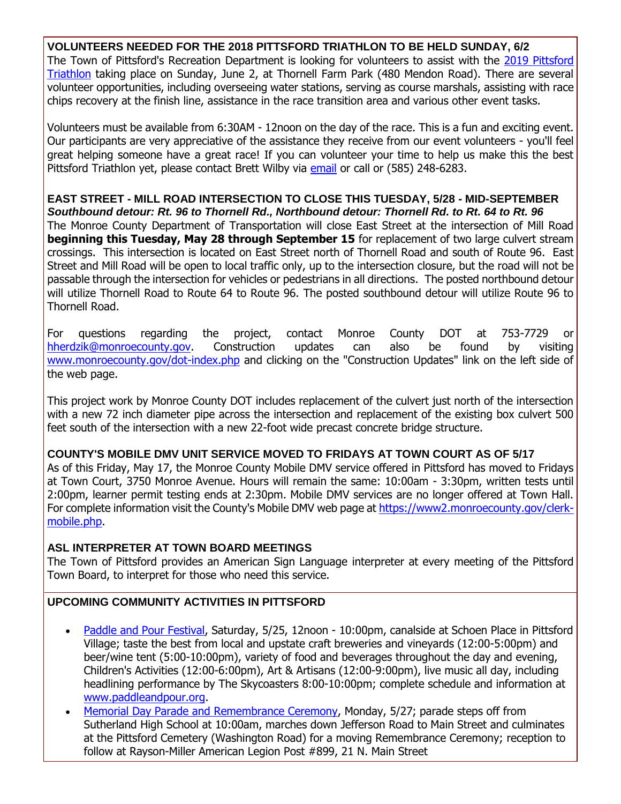#### **VOLUNTEERS NEEDED FOR THE 2018 PITTSFORD TRIATHLON TO BE HELD SUNDAY, 6/2**

The Town of Pittsford's Recreation Department is looking for volunteers to assist with the [2019 Pittsford](http://r20.rs6.net/tn.jsp?f=001fPUwCtGqZ7Blo4zDqI6cCt-w0s42MISO6V6ic8H3Gud4bqbwCz-kIILo5wped43FVV8NPTpJmNuVG9E6rTeNtLYBFGJkKQViACVLFqe4E7haloB_9pJ5L8DLjw6GxLHIfZfzSW2c491XDZfYuqKkPpD-DgHzOLteIUlYahOuAH1UxU6AZfbOa4Mufn5SZOmk85-LzQHd0arHtVif7lKG9IqL-fcBHhwdG1Rs-d8X0p1-6ZWsg1i6ZW8rIaAyDwAgc9Qkd6f4KEvxLgfFgBL1MTdlqzmYcAKI4zhT8QISJW4zbtHwsg9vFA==&c=ORxPxigUFCjcaDF-Mwg9Obc15zZWt4xH0CEzdjMmE3j1hK8lDhNFZg==&ch=ww4vpZmRDEYVktVhkQXntZ_TgYLuSTR8V64eMJf3W0y5m9HFtH7D5A==)  [Triathlon](http://r20.rs6.net/tn.jsp?f=001fPUwCtGqZ7Blo4zDqI6cCt-w0s42MISO6V6ic8H3Gud4bqbwCz-kIILo5wped43FVV8NPTpJmNuVG9E6rTeNtLYBFGJkKQViACVLFqe4E7haloB_9pJ5L8DLjw6GxLHIfZfzSW2c491XDZfYuqKkPpD-DgHzOLteIUlYahOuAH1UxU6AZfbOa4Mufn5SZOmk85-LzQHd0arHtVif7lKG9IqL-fcBHhwdG1Rs-d8X0p1-6ZWsg1i6ZW8rIaAyDwAgc9Qkd6f4KEvxLgfFgBL1MTdlqzmYcAKI4zhT8QISJW4zbtHwsg9vFA==&c=ORxPxigUFCjcaDF-Mwg9Obc15zZWt4xH0CEzdjMmE3j1hK8lDhNFZg==&ch=ww4vpZmRDEYVktVhkQXntZ_TgYLuSTR8V64eMJf3W0y5m9HFtH7D5A==) taking place on Sunday, June 2, at Thornell Farm Park (480 Mendon Road). There are several volunteer opportunities, including overseeing water stations, serving as course marshals, assisting with race chips recovery at the finish line, assistance in the race transition area and various other event tasks.

Volunteers must be available from 6:30AM - 12noon on the day of the race. This is a fun and exciting event. Our participants are very appreciative of the assistance they receive from our event volunteers - you'll feel great helping someone have a great race! If you can volunteer your time to help us make this the best Pittsford Triathlon yet, please contact Brett Wilby via [email](mailto:bwilby@townofpittsford.org?subject=Pittsford%20Triathlon%20-%20volunteering) or call or (585) 248-6283.

**EAST STREET - MILL ROAD INTERSECTION TO CLOSE THIS TUESDAY, 5/28 - MID-SEPTEMBER** *Southbound detour: Rt. 96 to Thornell Rd., Northbound detour: Thornell Rd. to Rt. 64 to Rt. 96* The Monroe County Department of Transportation will close East Street at the intersection of Mill Road **beginning this Tuesday, May 28 through September 15** for replacement of two large culvert stream crossings. This intersection is located on East Street north of Thornell Road and south of Route 96. East Street and Mill Road will be open to local traffic only, up to the intersection closure, but the road will not be passable through the intersection for vehicles or pedestrians in all directions. The posted northbound detour will utilize Thornell Road to Route 64 to Route 96. The posted southbound detour will utilize Route 96 to Thornell Road.

For questions regarding the project, contact Monroe County DOT at 753-7729 or [hherdzik@monroecounty.gov.](mailto:hherdzik@monroecounty.gov?subject=Pittsford%20East%20Street-Mill%20Road%20Culvert%20Replacement%20Project) Construction updates can also be found by visiting [www.monroecounty.gov/dot-index.php](http://r20.rs6.net/tn.jsp?f=001fPUwCtGqZ7Blo4zDqI6cCt-w0s42MISO6V6ic8H3Gud4bqbwCz-kIJpHpx-au6PeHMj2sv6ezchYNlswwt9IpRUTSubFjJ5xOLzrPhTmd2-MC8HfC-02K2rZ-xcTH0jBbHbfaNtNj5JBs2EdGujZGPmSx8_GBCwalLMX2aM7Psm1k9FDP4Mof2R5-PZrUyRe5NugguShS4t6N-ib_YSEdegFhyn3giwCSlPzz0ocjEiMl_Zqdui0cTdhItD41ISAeXH3QRS7HEyEc67SswVJ3Jn4maw0MaO_GYUS8Pw0XrEz8FSPSKwUeg==&c=ORxPxigUFCjcaDF-Mwg9Obc15zZWt4xH0CEzdjMmE3j1hK8lDhNFZg==&ch=ww4vpZmRDEYVktVhkQXntZ_TgYLuSTR8V64eMJf3W0y5m9HFtH7D5A==) and clicking on the "Construction Updates" link on the left side of the web page.

This project work by Monroe County DOT includes replacement of the culvert just north of the intersection with a new 72 inch diameter pipe across the intersection and replacement of the existing box culvert 500 feet south of the intersection with a new 22-foot wide precast concrete bridge structure.

# **COUNTY'S MOBILE DMV UNIT SERVICE MOVED TO FRIDAYS AT TOWN COURT AS OF 5/17**

As of this Friday, May 17, the Monroe County Mobile DMV service offered in Pittsford has moved to Fridays at Town Court, 3750 Monroe Avenue. Hours will remain the same: 10:00am - 3:30pm, written tests until 2:00pm, learner permit testing ends at 2:30pm. Mobile DMV services are no longer offered at Town Hall. For complete information visit the County's Mobile DMV web page at [https://www2.monroecounty.gov/clerk](http://r20.rs6.net/tn.jsp?f=001fPUwCtGqZ7Blo4zDqI6cCt-w0s42MISO6V6ic8H3Gud4bqbwCz-kIP8vP5J23y-pXtH61Wn0o_SOe7LU8t7sobrfSacVCLFrqu2H3M58ddCNXeaFc8_2tdw7EDDVFCDBYzYmTs-1zoZWSbtb7doJhb1xvX6oPJOGiBI6VZv18Lpz02Ji9PbHRkqq4Cx5M0JBfhudGCBUCDLK7g6fVGKzDeL1nEqY_WKSSdVQpnT4K0zWrO9AefbyEclRYVmxhGNL5I7yEFzRG8EJAnDoKmCp0BEknR77MmKPkoR6DzbN0RvbAcX_U_WmiesNRRviGwVM&c=ORxPxigUFCjcaDF-Mwg9Obc15zZWt4xH0CEzdjMmE3j1hK8lDhNFZg==&ch=ww4vpZmRDEYVktVhkQXntZ_TgYLuSTR8V64eMJf3W0y5m9HFtH7D5A==)[mobile.php.](http://r20.rs6.net/tn.jsp?f=001fPUwCtGqZ7Blo4zDqI6cCt-w0s42MISO6V6ic8H3Gud4bqbwCz-kIP8vP5J23y-pXtH61Wn0o_SOe7LU8t7sobrfSacVCLFrqu2H3M58ddCNXeaFc8_2tdw7EDDVFCDBYzYmTs-1zoZWSbtb7doJhb1xvX6oPJOGiBI6VZv18Lpz02Ji9PbHRkqq4Cx5M0JBfhudGCBUCDLK7g6fVGKzDeL1nEqY_WKSSdVQpnT4K0zWrO9AefbyEclRYVmxhGNL5I7yEFzRG8EJAnDoKmCp0BEknR77MmKPkoR6DzbN0RvbAcX_U_WmiesNRRviGwVM&c=ORxPxigUFCjcaDF-Mwg9Obc15zZWt4xH0CEzdjMmE3j1hK8lDhNFZg==&ch=ww4vpZmRDEYVktVhkQXntZ_TgYLuSTR8V64eMJf3W0y5m9HFtH7D5A==)

#### **ASL INTERPRETER AT TOWN BOARD MEETINGS**

The Town of Pittsford provides an American Sign Language interpreter at every meeting of the Pittsford Town Board, to interpret for those who need this service.

# **UPCOMING COMMUNITY ACTIVITIES IN PITTSFORD**

- [Paddle and Pour Festival,](http://r20.rs6.net/tn.jsp?f=001fPUwCtGqZ7Blo4zDqI6cCt-w0s42MISO6V6ic8H3Gud4bqbwCz-kILtvXB-FXEh58HiAbeU2L86UutpZaUcNsajB9GdJAWzjUM7KVo6ZQj6eTuHtqpge3FykJbL0Y7BUP1O2veUkrXjF_IQmAC8j4Iu0ZchzZ7ZwnJJKlPzv7OdiP8WaKWODAQnc4C9K2SDgReVxuZTl-_cnyJuC9VtyCMF8QW2ELAYyl9JhT2KuOWvRBnFhfQo_j8fj36E71ntk48TAjJlEAOUHMEH58N5XzXllVflVuvIlydJwr6-3aGU=&c=ORxPxigUFCjcaDF-Mwg9Obc15zZWt4xH0CEzdjMmE3j1hK8lDhNFZg==&ch=ww4vpZmRDEYVktVhkQXntZ_TgYLuSTR8V64eMJf3W0y5m9HFtH7D5A==) Saturday, 5/25, 12noon 10:00pm, canalside at Schoen Place in Pittsford Village; taste the best from local and upstate craft breweries and vineyards (12:00-5:00pm) and beer/wine tent (5:00-10:00pm), variety of food and beverages throughout the day and evening, Children's Activities (12:00-6:00pm), Art & Artisans (12:00-9:00pm), live music all day, including headlining performance by The Skycoasters 8:00-10:00pm; complete schedule and information at [www.paddleandpour.org.](http://www.paddleandpour.org/)
- [Memorial Day Parade and Remembrance Ceremony,](http://r20.rs6.net/tn.jsp?f=001fPUwCtGqZ7Blo4zDqI6cCt-w0s42MISO6V6ic8H3Gud4bqbwCz-kIGVEYO0oTWog5SUr7U5pLXxquSdYCq_J5dsp0aULm7in2oxBBJkWOkwFEaDp5R0_uEVBx8okzJ6mKDYXRCbPz961YKkpajoDnZ_4ovQTDiN3YsFO3Pvl9mcWjU5mrUkmrqWq85pDIKK5iUPcjtPH_A18ws8DfN4glt3LhCSQrSC9U_GTZGd_f-AbcIfV7zqedQhbkugJbV8Mi1hR6KG1jojYfy0nkX0ncI_mZsGONnp9695FXY3-NLY_mT7V6HOwhQ==&c=ORxPxigUFCjcaDF-Mwg9Obc15zZWt4xH0CEzdjMmE3j1hK8lDhNFZg==&ch=ww4vpZmRDEYVktVhkQXntZ_TgYLuSTR8V64eMJf3W0y5m9HFtH7D5A==) Monday, 5/27; parade steps off from Sutherland High School at 10:00am, marches down Jefferson Road to Main Street and culminates at the Pittsford Cemetery (Washington Road) for a moving Remembrance Ceremony; reception to follow at Rayson-Miller American Legion Post #899, 21 N. Main Street